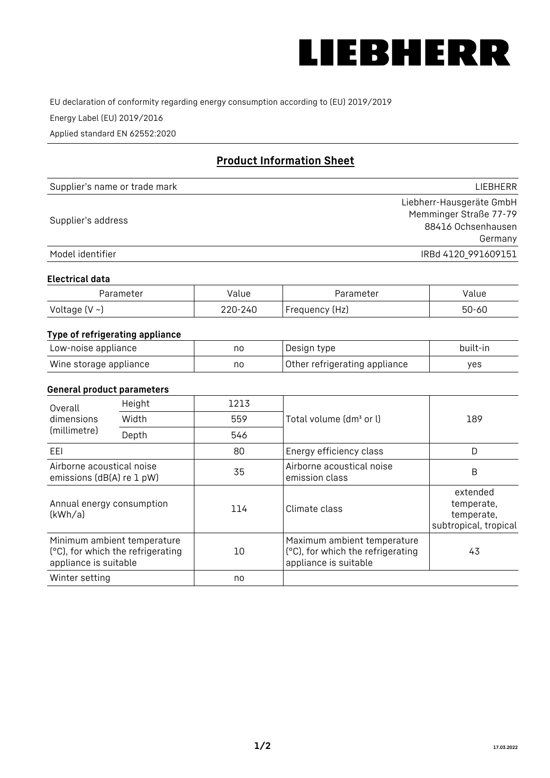

EU declaration of conformity regarding energy consumption according to (EU) 2019/2019

Energy Label (EU) 2019/2016

Applied standard EN 62552:2020

# **Product Information Sheet**

| Supplier's name or trade mark | <b>LIFBHFRR</b>          |
|-------------------------------|--------------------------|
|                               | Liebherr-Hausgeräte GmbH |
| Supplier's address            | Memminger Straße 77-79   |
|                               | 88416 Ochsenhausen       |
|                               | Germany                  |
| Model identifier              | IRBd 4120 991609151      |

#### **Electrical data**

| Parameter           | Value   | Parameter      | alue/     |
|---------------------|---------|----------------|-----------|
| Voltage (V $\sim$ ) | 220-240 | Frequency (Hz) | $50 - 60$ |

# **Type of refrigerating appliance**

| Low-noise appliance    | no | Design type                   | built-in |
|------------------------|----|-------------------------------|----------|
| Wine storage appliance | nc | Other refrigerating appliance | ves      |

## **General product parameters**

| Height<br>Overall                                      |                                                                  | 1213 |                                                                                           |                                                               |
|--------------------------------------------------------|------------------------------------------------------------------|------|-------------------------------------------------------------------------------------------|---------------------------------------------------------------|
| dimensions<br>(millimetre)                             | Width                                                            | 559  | Total volume (dm <sup>3</sup> or l)                                                       | 189                                                           |
|                                                        | Depth                                                            | 546  |                                                                                           |                                                               |
| EEL                                                    |                                                                  | 80   | Energy efficiency class                                                                   | D                                                             |
| Airborne acoustical noise<br>emissions (dB(A) re 1 pW) |                                                                  | 35   | Airborne acoustical noise<br>emission class                                               | B                                                             |
| Annual energy consumption<br>(kWh/a)                   |                                                                  | 114  | Climate class                                                                             | extended<br>temperate,<br>temperate,<br>subtropical, tropical |
| appliance is suitable                                  | Minimum ambient temperature<br>(°C), for which the refrigerating | 10   | Maximum ambient temperature<br>(°C), for which the refrigerating<br>appliance is suitable | 43                                                            |
| Winter setting                                         |                                                                  | no   |                                                                                           |                                                               |